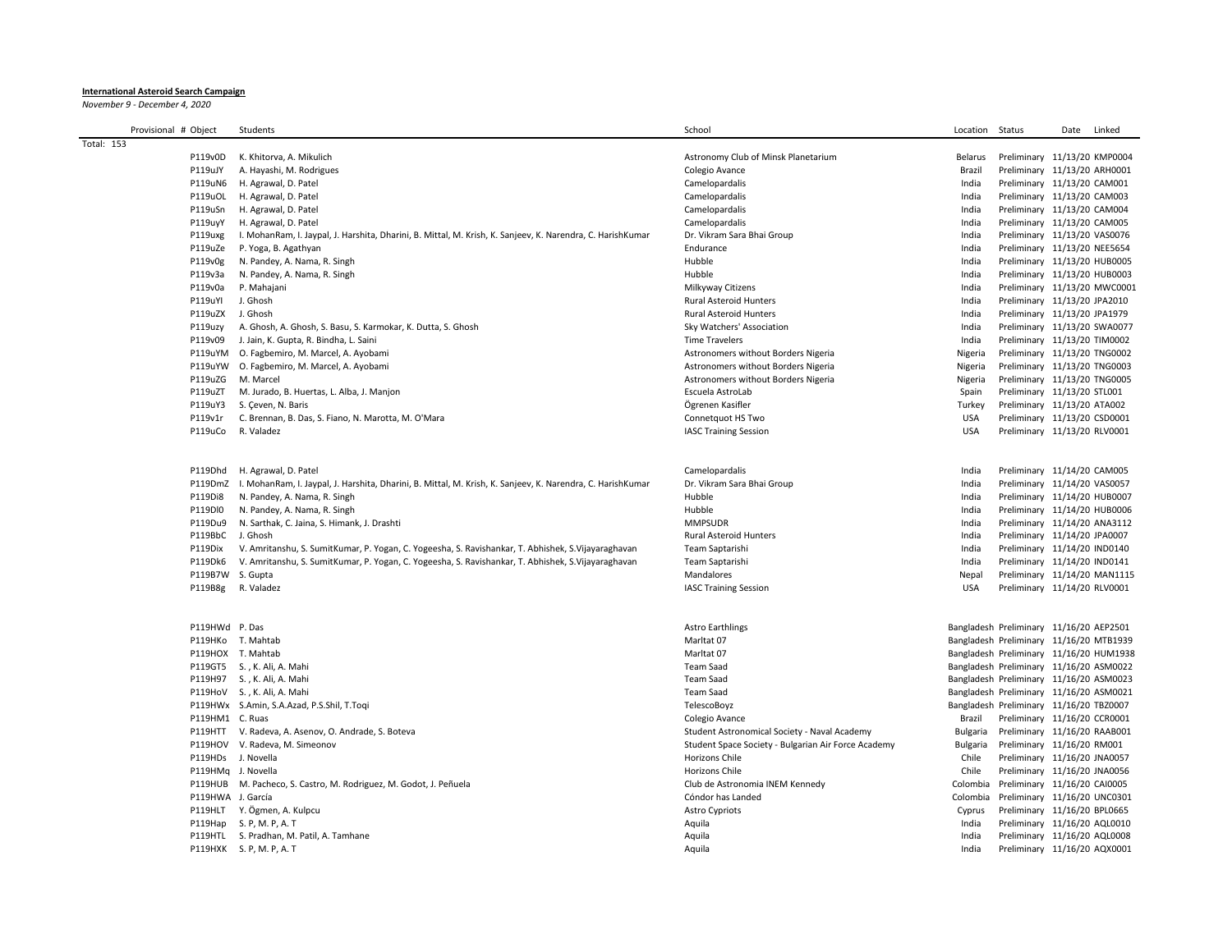## **International Asteroid Search Campaign**

*November 9 - December 4, 2020*

| Provisional # Object |                    | Students                                                                                                           | School                                                                     | Location             | Status                                                                  | Date | Linked |
|----------------------|--------------------|--------------------------------------------------------------------------------------------------------------------|----------------------------------------------------------------------------|----------------------|-------------------------------------------------------------------------|------|--------|
| Total: 153           |                    |                                                                                                                    |                                                                            |                      |                                                                         |      |        |
|                      | P119v0D            | K. Khitorva, A. Mikulich                                                                                           | Astronomy Club of Minsk Planetarium                                        | Belarus              | Preliminary 11/13/20 KMP0004                                            |      |        |
|                      | P119uJY            | A. Hayashi, M. Rodrigues                                                                                           | Colegio Avance                                                             | Brazil               | Preliminary 11/13/20 ARH0001                                            |      |        |
|                      | P119uN6            | H. Agrawal, D. Patel                                                                                               | Camelopardalis                                                             | India                | Preliminary 11/13/20 CAM001                                             |      |        |
|                      | P119uOL            | H. Agrawal, D. Patel                                                                                               | Camelopardalis                                                             | India                | Preliminary 11/13/20 CAM003                                             |      |        |
|                      | P119uSn            | H. Agrawal, D. Patel                                                                                               | Camelopardalis                                                             | India                | Preliminary 11/13/20 CAM004                                             |      |        |
|                      | P119uyY            | H. Agrawal, D. Patel                                                                                               | Camelopardalis                                                             | India                | Preliminary 11/13/20 CAM005                                             |      |        |
|                      | P119uxg            | I. MohanRam, I. Jaypal, J. Harshita, Dharini, B. Mittal, M. Krish, K. Sanjeev, K. Narendra, C. HarishKumar         | Dr. Vikram Sara Bhai Group                                                 | India                | Preliminary 11/13/20 VAS0076                                            |      |        |
|                      | P119uZe            | P. Yoga, B. Agathyan                                                                                               | Endurance                                                                  | India                | Preliminary 11/13/20 NEE5654                                            |      |        |
|                      | P119v0g            | N. Pandey, A. Nama, R. Singh                                                                                       | Hubble                                                                     | India                | Preliminary 11/13/20 HUB0005                                            |      |        |
|                      | P119v3a            | N. Pandey, A. Nama, R. Singh                                                                                       | Hubble                                                                     | India                | Preliminary 11/13/20 HUB0003                                            |      |        |
|                      | P119v0a            | P. Mahajani                                                                                                        | Milkyway Citizens                                                          | India                | Preliminary 11/13/20 MWC0001                                            |      |        |
|                      | P119uYI            | J. Ghosh                                                                                                           | <b>Rural Asteroid Hunters</b>                                              | India                | Preliminary 11/13/20 JPA2010                                            |      |        |
|                      | P119uZX J. Ghosh   |                                                                                                                    | <b>Rural Asteroid Hunters</b>                                              | India                | Preliminary 11/13/20 JPA1979                                            |      |        |
|                      | P119uzy            | A. Ghosh, A. Ghosh, S. Basu, S. Karmokar, K. Dutta, S. Ghosh                                                       | Sky Watchers' Association                                                  | India                | Preliminary 11/13/20 SWA0077                                            |      |        |
|                      | P119v09            | J. Jain, K. Gupta, R. Bindha, L. Saini                                                                             | <b>Time Travelers</b>                                                      | India                | Preliminary 11/13/20 TIM0002                                            |      |        |
|                      |                    | P119uYM O. Fagbemiro, M. Marcel, A. Ayobami                                                                        | Astronomers without Borders Nigeria                                        | Nigeria              | Preliminary 11/13/20 TNG0002                                            |      |        |
|                      | P119uZG            | P119uYW O. Fagbemiro, M. Marcel, A. Ayobami<br>M. Marcel                                                           | Astronomers without Borders Nigeria<br>Astronomers without Borders Nigeria | Nigeria              | Preliminary 11/13/20 TNG0003<br>Preliminary 11/13/20 TNG0005            |      |        |
|                      | P119uZT            |                                                                                                                    |                                                                            | Nigeria              | Preliminary 11/13/20 STL001                                             |      |        |
|                      | P119uY3            | M. Jurado, B. Huertas, L. Alba, J. Manjon<br>S. Ceven, N. Baris                                                    | Escuela AstroLab<br>Ögrenen Kasifler                                       | Spain<br>Turkey      | Preliminary 11/13/20 ATA002                                             |      |        |
|                      | P119v1r            | C. Brennan, B. Das, S. Fiano, N. Marotta, M. O'Mara                                                                | Connetquot HS Two                                                          | <b>USA</b>           | Preliminary 11/13/20 CSD0001                                            |      |        |
|                      | P119uCo            | R. Valadez                                                                                                         | <b>IASC Training Session</b>                                               | <b>USA</b>           | Preliminary 11/13/20 RLV0001                                            |      |        |
|                      |                    |                                                                                                                    |                                                                            |                      |                                                                         |      |        |
|                      |                    |                                                                                                                    |                                                                            |                      |                                                                         |      |        |
|                      |                    | P119Dhd H. Agrawal, D. Patel                                                                                       | Camelopardalis                                                             | India                | Preliminary 11/14/20 CAM005                                             |      |        |
|                      |                    | P119DmZ I. MohanRam, I. Jaypal, J. Harshita, Dharini, B. Mittal, M. Krish, K. Sanjeev, K. Narendra, C. HarishKumar | Dr. Vikram Sara Bhai Group                                                 | India                | Preliminary 11/14/20 VAS0057                                            |      |        |
|                      | P119Di8            | N. Pandey, A. Nama, R. Singh                                                                                       | Hubble                                                                     | India                | Preliminary 11/14/20 HUB0007                                            |      |        |
|                      | P119DI0            | N. Pandey, A. Nama, R. Singh                                                                                       | Hubble                                                                     | India                | Preliminary 11/14/20 HUB0006                                            |      |        |
|                      | P119Du9            | N. Sarthak, C. Jaina, S. Himank, J. Drashti                                                                        | <b>MMPSUDR</b>                                                             | India                | Preliminary 11/14/20 ANA3112                                            |      |        |
|                      | P119BbC J. Ghosh   |                                                                                                                    | <b>Rural Asteroid Hunters</b>                                              | India                | Preliminary 11/14/20 JPA0007                                            |      |        |
|                      | P119Dix            | V. Amritanshu, S. SumitKumar, P. Yogan, C. Yogeesha, S. Ravishankar, T. Abhishek, S. Vijayaraghavan                | Team Saptarishi                                                            | India                | Preliminary 11/14/20 IND0140                                            |      |        |
|                      | P119Dk6            | V. Amritanshu, S. SumitKumar, P. Yogan, C. Yogeesha, S. Ravishankar, T. Abhishek, S. Vijayaraghavan                | Team Saptarishi                                                            | India                | Preliminary 11/14/20 IND0141                                            |      |        |
|                      | P119B7W S. Gupta   |                                                                                                                    | Mandalores                                                                 | Nepal                | Preliminary 11/14/20 MAN1115                                            |      |        |
|                      | P119B8g            | R. Valadez                                                                                                         | <b>IASC Training Session</b>                                               | <b>USA</b>           | Preliminary 11/14/20 RLV0001                                            |      |        |
|                      |                    |                                                                                                                    |                                                                            |                      |                                                                         |      |        |
|                      | P119HWd P. Das     |                                                                                                                    | <b>Astro Earthlings</b>                                                    |                      | Bangladesh Preliminary 11/16/20 AEP2501                                 |      |        |
|                      |                    | P119HKo T. Mahtab                                                                                                  | Marltat 07                                                                 |                      | Bangladesh Preliminary 11/16/20 MTB1939                                 |      |        |
|                      |                    | P119HOX T. Mahtab                                                                                                  | Marltat 07                                                                 |                      | Bangladesh Preliminary 11/16/20 HUM1938                                 |      |        |
|                      |                    | P119GT5 S., K. Ali, A. Mahi                                                                                        | <b>Team Saad</b>                                                           |                      | Bangladesh Preliminary 11/16/20 ASM0022                                 |      |        |
|                      |                    | P119H97 S., K. Ali, A. Mahi                                                                                        | <b>Team Saad</b>                                                           |                      | Bangladesh Preliminary 11/16/20 ASM0023                                 |      |        |
|                      |                    | P119HoV S., K. Ali, A. Mahi                                                                                        | <b>Team Saad</b><br>TelescoBoyz                                            |                      | Bangladesh Preliminary 11/16/20 ASM0021                                 |      |        |
|                      | P119HM1 C. Ruas    | P119HWx S.Amin, S.A.Azad, P.S.Shil, T.Toqi                                                                         | Colegio Avance                                                             |                      | Bangladesh Preliminary 11/16/20 TBZ0007<br>Preliminary 11/16/20 CCR0001 |      |        |
|                      |                    | P119HTT V. Radeva, A. Asenov, O. Andrade, S. Boteva                                                                | Student Astronomical Society - Naval Academy                               | Brazil               | Preliminary 11/16/20 RAAB001                                            |      |        |
|                      |                    | P119HOV V. Radeva, M. Simeonov                                                                                     | Student Space Society - Bulgarian Air Force Academy                        | Bulgaria<br>Bulgaria | Preliminary 11/16/20 RM001                                              |      |        |
|                      | P119HDs J. Novella |                                                                                                                    | Horizons Chile                                                             | Chile                | Preliminary 11/16/20 JNA0057                                            |      |        |
|                      | P119HMq J. Novella |                                                                                                                    | Horizons Chile                                                             | Chile                | Preliminary 11/16/20 JNA0056                                            |      |        |
|                      |                    | P119HUB M. Pacheco, S. Castro, M. Rodriguez, M. Godot, J. Peñuela                                                  | Club de Astronomia INEM Kennedy                                            | Colombia             | Preliminary 11/16/20 CAI0005                                            |      |        |
|                      | P119HWA J. García  |                                                                                                                    | Cóndor has Landed                                                          | Colombia             | Preliminary 11/16/20 UNC0301                                            |      |        |
|                      |                    | P119HLT Y. Ögmen, A. Kulpcu                                                                                        | <b>Astro Cypriots</b>                                                      | Cyprus               | Preliminary 11/16/20 BPL0665                                            |      |        |
|                      |                    | P119Hap S. P, M. P, A. T                                                                                           | Aquila                                                                     | India                | Preliminary 11/16/20 AQL0010                                            |      |        |
|                      |                    | P119HTL S. Pradhan, M. Patil, A. Tamhane                                                                           | Aquila                                                                     | India                | Preliminary 11/16/20 AQL0008                                            |      |        |
|                      |                    | P119HXK S. P, M. P, A. T                                                                                           | Aquila                                                                     | India                | Preliminary 11/16/20 AQX0001                                            |      |        |
|                      |                    |                                                                                                                    |                                                                            |                      |                                                                         |      |        |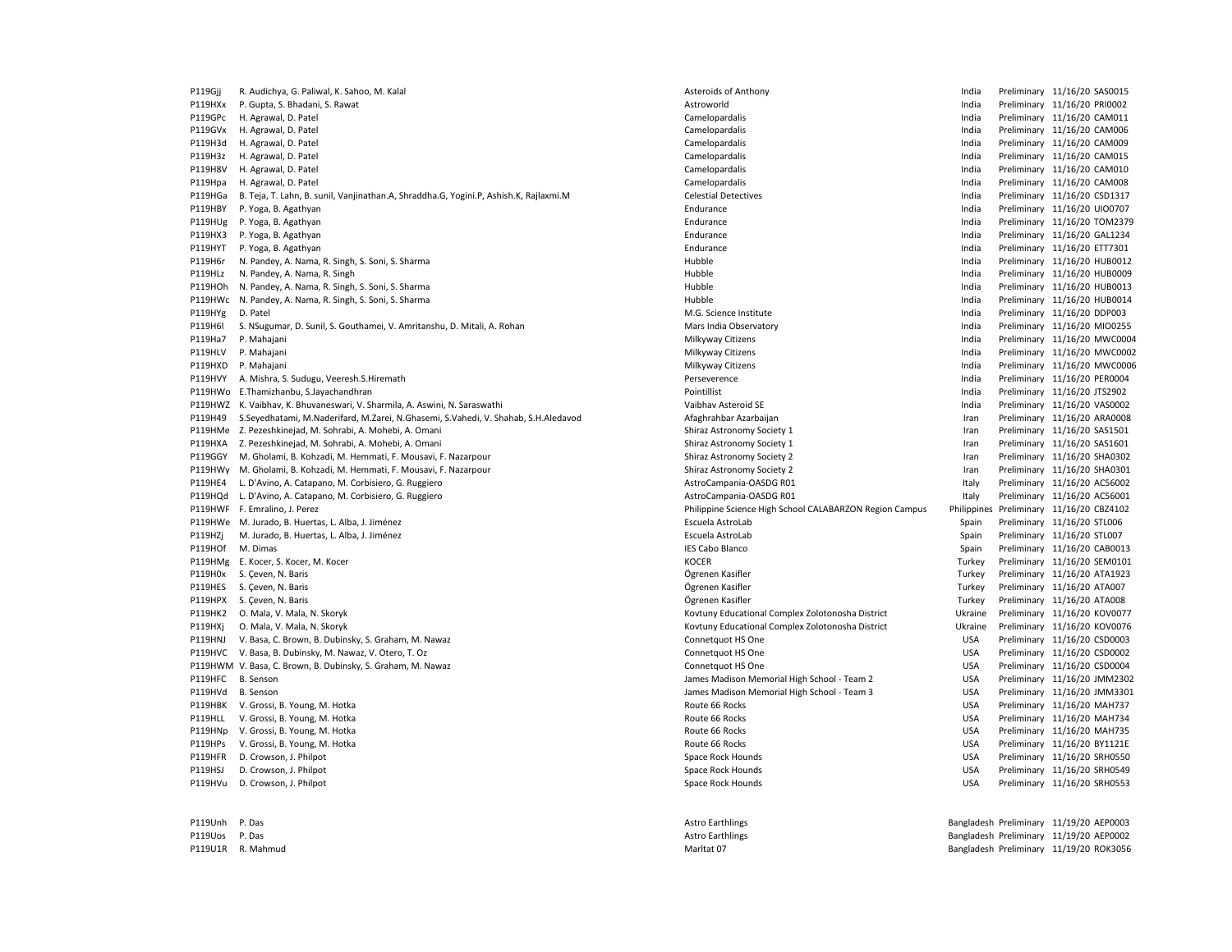| P119Gjj | R. Audichya, G. Paliwal, K. Sahoo, M. Kalal                                           | Asteroids of Anthony                                    | India       | Preliminary 11/16/20 SAS0015 |
|---------|---------------------------------------------------------------------------------------|---------------------------------------------------------|-------------|------------------------------|
| P119HXx | P. Gupta, S. Bhadani, S. Rawat                                                        | Astroworld                                              | India       | Preliminary 11/16/20 PRI0002 |
| P119GPc | H. Agrawal, D. Patel                                                                  | Camelopardalis                                          | India       | Preliminary 11/16/20 CAM011  |
| P119GVx | H. Agrawal, D. Patel                                                                  | Camelopardalis                                          | India       | Preliminary 11/16/20 CAM006  |
| P119H3d | H. Agrawal, D. Patel                                                                  | Camelopardalis                                          | India       | Preliminary 11/16/20 CAM009  |
| P119H3z | H. Agrawal, D. Patel                                                                  | Camelopardalis                                          | India       | Preliminary 11/16/20 CAM015  |
| P119H8V | H. Agrawal, D. Patel                                                                  | Camelopardalis                                          | India       | Preliminary 11/16/20 CAM010  |
| P119Hpa | H. Agrawal, D. Patel                                                                  | Camelopardalis                                          | India       | Preliminary 11/16/20 CAM008  |
| P119HGa | B. Teja, T. Lahn, B. sunil, Vanjinathan.A, Shraddha.G, Yogini.P, Ashish.K, Rajlaxmi.M | <b>Celestial Detectives</b>                             | India       | Preliminary 11/16/20 CSD1317 |
| P119HBY | P. Yoga, B. Agathyan                                                                  | Endurance                                               | India       | Preliminary 11/16/20 UIO0707 |
| P119HUg | P. Yoga, B. Agathyan                                                                  | Endurance                                               | India       | Preliminary 11/16/20 TOM2379 |
| P119HX3 | P. Yoga, B. Agathyan                                                                  | Endurance                                               | India       | Preliminary 11/16/20 GAL1234 |
| P119HYT | P. Yoga, B. Agathyan                                                                  | Endurance                                               | India       | Preliminary 11/16/20 ETT7301 |
| P119H6r | N. Pandey, A. Nama, R. Singh, S. Soni, S. Sharma                                      | Hubble                                                  | India       | Preliminary 11/16/20 HUB0012 |
| P119HLz | N. Pandey, A. Nama, R. Singh                                                          | Hubble                                                  | India       | Preliminary 11/16/20 HUB0009 |
| P119HOh | N. Pandey, A. Nama, R. Singh, S. Soni, S. Sharma                                      | Hubble                                                  | India       | Preliminary 11/16/20 HUB0013 |
| P119HWc | N. Pandey, A. Nama, R. Singh, S. Soni, S. Sharma                                      | Hubble                                                  | India       | Preliminary 11/16/20 HUB0014 |
| P119HYg | D. Patel                                                                              | M.G. Science Institute                                  | India       | Preliminary 11/16/20 DDP003  |
| P119H6I | S. NSugumar, D. Sunil, S. Gouthamei, V. Amritanshu, D. Mitali, A. Rohan               | Mars India Observatory                                  | India       | Preliminary 11/16/20 MIO0255 |
| P119Ha7 | P. Mahajani                                                                           | Milkyway Citizens                                       | India       | Preliminary 11/16/20 MWC0004 |
| P119HLV | P. Mahajani                                                                           | Milkyway Citizens                                       | India       | Preliminary 11/16/20 MWC0002 |
| P119HXD | P. Mahajani                                                                           | Milkyway Citizens                                       | India       | Preliminary 11/16/20 MWC0006 |
| P119HVY | A. Mishra, S. Sudugu, Veeresh.S.Hiremath                                              | Perseverence                                            | India       | Preliminary 11/16/20 PER0004 |
|         | P119HWo E.Thamizhanbu, S.Jayachandhran                                                | Pointillist                                             | India       | Preliminary 11/16/20 JTS2902 |
| P119HWZ | K. Vaibhav, K. Bhuvaneswari, V. Sharmila, A. Aswini, N. Saraswathi                    | Vaibhav Asteroid SE                                     | India       | Preliminary 11/16/20 VAS0002 |
| P119H49 | S.Seyedhatami, M.Naderifard, M.Zarei, N.Ghasemi, S.Vahedi, V. Shahab, S.H.Aledavod    | Afaghrahbar Azarbaijan                                  | Iran        | Preliminary 11/16/20 ARA0008 |
|         | P119HMe Z. Pezeshkinejad, M. Sohrabi, A. Mohebi, A. Omani                             | Shiraz Astronomy Society 1                              | Iran        | Preliminary 11/16/20 SAS1501 |
| P119HXA | Z. Pezeshkinejad, M. Sohrabi, A. Mohebi, A. Omani                                     | Shiraz Astronomy Society 1                              | Iran        | Preliminary 11/16/20 SAS1601 |
| P119GGY | M. Gholami, B. Kohzadi, M. Hemmati, F. Mousavi, F. Nazarpour                          | Shiraz Astronomy Society 2                              | Iran        | Preliminary 11/16/20 SHA0302 |
| P119HWy | M. Gholami, B. Kohzadi, M. Hemmati, F. Mousavi, F. Nazarpour                          | Shiraz Astronomy Society 2                              | Iran        | Preliminary 11/16/20 SHA0301 |
| P119HE4 | L. D'Avino, A. Catapano, M. Corbisiero, G. Ruggiero                                   | AstroCampania-OASDG R01                                 | Italy       | Preliminary 11/16/20 AC56002 |
| P119HQd | L. D'Avino, A. Catapano, M. Corbisiero, G. Ruggiero                                   | AstroCampania-OASDG R01                                 | Italy       | Preliminary 11/16/20 AC56001 |
|         | P119HWF F. Emralino, J. Perez                                                         | Philippine Science High School CALABARZON Region Campus | Philippines | Preliminary 11/16/20 CBZ4102 |
|         | P119HWe M. Jurado, B. Huertas, L. Alba, J. Jiménez                                    | Escuela AstroLab                                        | Spain       | Preliminary 11/16/20 STL006  |
| P119HZj | M. Jurado, B. Huertas, L. Alba, J. Jiménez                                            | Escuela AstroLab                                        | Spain       | Preliminary 11/16/20 STL007  |
| P119HOf | M. Dimas                                                                              | <b>IES Cabo Blanco</b>                                  | Spain       | Preliminary 11/16/20 CAB0013 |
| P119HMg | E. Kocer, S. Kocer, M. Kocer                                                          | <b>KOCER</b>                                            | Turkey      | Preliminary 11/16/20 SEM0101 |
| P119H0x | S. Çeven, N. Baris                                                                    | Ögrenen Kasifler                                        | Turkey      | Preliminary 11/16/20 ATA1923 |
| P119HES | S. Çeven, N. Baris                                                                    | Ögrenen Kasifler                                        | Turkey      | Preliminary 11/16/20 ATA007  |
| P119HPX | S. Çeven, N. Baris                                                                    | Ögrenen Kasifler                                        | Turkey      | Preliminary 11/16/20 ATA008  |
| P119HK2 | O. Mala, V. Mala, N. Skoryk                                                           | Kovtuny Educational Complex Zolotonosha District        | Ukraine     | Preliminary 11/16/20 KOV0077 |
| P119HXj | O. Mala, V. Mala, N. Skoryk                                                           | Kovtuny Educational Complex Zolotonosha District        | Ukraine     | Preliminary 11/16/20 KOV0076 |
| P119HNJ | V. Basa, C. Brown, B. Dubinsky, S. Graham, M. Nawaz                                   | Connetquot HS One                                       | <b>USA</b>  | Preliminary 11/16/20 CSD0003 |
| P119HVC | V. Basa, B. Dubinsky, M. Nawaz, V. Otero, T. Oz                                       | Connetquot HS One                                       | <b>USA</b>  | Preliminary 11/16/20 CSD0002 |
|         | P119HWM V. Basa, C. Brown, B. Dubinsky, S. Graham, M. Nawaz                           | Connetquot HS One                                       | <b>USA</b>  | Preliminary 11/16/20 CSD0004 |
| P119HFC | B. Senson                                                                             | James Madison Memorial High School - Team 2             | <b>USA</b>  | Preliminary 11/16/20 JMM2302 |
| P119HVd | <b>B.</b> Senson                                                                      | James Madison Memorial High School - Team 3             | <b>USA</b>  | Preliminary 11/16/20 JMM3301 |
| P119HBK | V. Grossi, B. Young, M. Hotka                                                         | Route 66 Rocks                                          | <b>USA</b>  | Preliminary 11/16/20 MAH737  |
| P119HLL | V. Grossi, B. Young, M. Hotka                                                         | Route 66 Rocks                                          | <b>USA</b>  | Preliminary 11/16/20 MAH734  |
| P119HNp | V. Grossi, B. Young, M. Hotka                                                         | Route 66 Rocks                                          | <b>USA</b>  | Preliminary 11/16/20 MAH735  |
| P119HPs | V. Grossi, B. Young, M. Hotka                                                         | Route 66 Rocks                                          | <b>USA</b>  | Preliminary 11/16/20 BY1121E |
| P119HFR | D. Crowson, J. Philpot                                                                | Space Rock Hounds                                       | <b>USA</b>  | Preliminary 11/16/20 SRH0550 |
| P119HSJ | D. Crowson, J. Philpot                                                                | Space Rock Hounds                                       | <b>USA</b>  | Preliminary 11/16/20 SRH0549 |
| P119HVu | D. Crowson, J. Philpot                                                                | Space Rock Hounds                                       | <b>USA</b>  | Preliminary 11/16/20 SRH0553 |
|         |                                                                                       |                                                         |             |                              |

P119Unh P. Das **Astro Earthlings** Astro Earthlings **Bangladesh Preliminary 11/19/20 AEP0003** P119Uos P. Das Sangladesh Preliminary 11/19/20 AEP0002 P119U1R R. Mahmud Marltat 07 Marltat 07 Marltat 07 Marltat 07 Bangladesh Preliminary 11/19/20 ROK3056